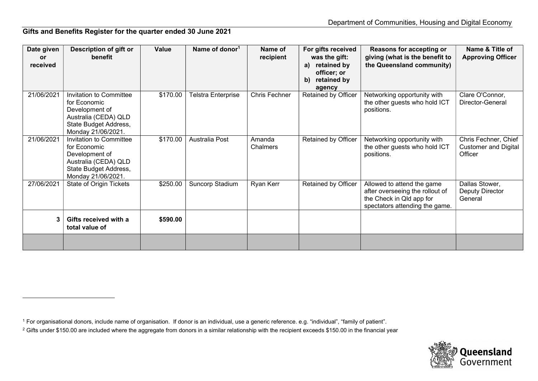## Gifts and Benefits Register for the quarter ended 30 June 2021

| Date given | Description of gift or                  | Value    | Name of donor <sup>1</sup> | Name of              | For gifts received               | Reasons for accepting or                                    | Name & Title of                        |
|------------|-----------------------------------------|----------|----------------------------|----------------------|----------------------------------|-------------------------------------------------------------|----------------------------------------|
| <b>or</b>  | benefit                                 |          |                            | recipient            | was the gift:                    | giving (what is the benefit to                              | <b>Approving Officer</b>               |
| received   |                                         |          |                            |                      | retained by<br>a)<br>officer; or | the Queensland community)                                   |                                        |
|            |                                         |          |                            |                      | retained by<br>b)                |                                                             |                                        |
|            |                                         |          |                            |                      | agency                           |                                                             |                                        |
| 21/06/2021 | Invitation to Committee                 | \$170.00 | Telstra Enterprise         | <b>Chris Fechner</b> | Retained by Officer              | Networking opportunity with                                 | Clare O'Connor,                        |
|            | for Economic                            |          |                            |                      |                                  | the other guests who hold ICT                               | Director-General                       |
|            | Development of<br>Australia (CEDA) QLD  |          |                            |                      |                                  | positions.                                                  |                                        |
|            | State Budget Address,                   |          |                            |                      |                                  |                                                             |                                        |
|            | Monday 21/06/2021.                      |          |                            |                      |                                  |                                                             |                                        |
| 21/06/2021 | Invitation to Committee                 | \$170.00 | Australia Post             | Amanda               | <b>Retained by Officer</b>       | Networking opportunity with                                 | Chris Fechner, Chief                   |
|            | for Economic<br>Development of          |          |                            | Chalmers             |                                  | the other guests who hold ICT<br>positions.                 | <b>Customer and Digital</b><br>Officer |
|            | Australia (CEDA) QLD                    |          |                            |                      |                                  |                                                             |                                        |
|            | State Budget Address,                   |          |                            |                      |                                  |                                                             |                                        |
|            | Monday 21/06/2021.                      |          |                            |                      |                                  |                                                             |                                        |
| 27/06/2021 | <b>State of Origin Tickets</b>          | \$250.00 | Suncorp Stadium            | Ryan Kerr            | <b>Retained by Officer</b>       | Allowed to attend the game                                  | Dallas Stower,                         |
|            |                                         |          |                            |                      |                                  | after overseeing the rollout of<br>the Check in Qld app for | Deputy Director<br>General             |
|            |                                         |          |                            |                      |                                  | spectators attending the game.                              |                                        |
|            |                                         |          |                            |                      |                                  |                                                             |                                        |
|            | Gifts received with a<br>total value of | \$590.00 |                            |                      |                                  |                                                             |                                        |
|            |                                         |          |                            |                      |                                  |                                                             |                                        |
|            |                                         |          |                            |                      |                                  |                                                             |                                        |
|            |                                         |          |                            |                      |                                  |                                                             |                                        |



<sup>1</sup> For organisational donors, include name of organisation. If donor is an individual, use a generic reference. e.g. "individual", "family of patient".

 $^2$  Gifts under \$150.00 are included where the aggregate from donors in a similar relationship with the recipient exceeds \$150.00 in the financial year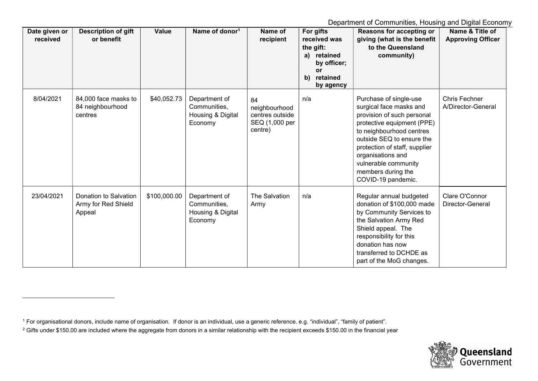Department of Communities, Housing and Digital Economy

| Date given or<br>received | <b>Description of gift</b><br>or benefit               | Value        | Name of donor <sup>1</sup>                                    | Name of<br>recipient                                                | For gifts<br>received was<br>the gift:<br>retained<br>a)<br>by officer;<br>or<br>retained<br>b)<br>by agency | Reasons for accepting or<br>giving (what is the benefit<br>to the Queensland<br>community)                                                                                                                                                                                                       | Name & Title of<br><b>Approving Officer</b> |
|---------------------------|--------------------------------------------------------|--------------|---------------------------------------------------------------|---------------------------------------------------------------------|--------------------------------------------------------------------------------------------------------------|--------------------------------------------------------------------------------------------------------------------------------------------------------------------------------------------------------------------------------------------------------------------------------------------------|---------------------------------------------|
| 8/04/2021                 | 84,000 face masks to<br>84 neighbourhood<br>centres    | \$40,052.73  | Department of<br>Communities,<br>Housing & Digital<br>Economy | 84<br>neighbourhood<br>centres outside<br>SEQ (1,000 per<br>centre) | n/a                                                                                                          | Purchase of single-use<br>surgical face masks and<br>provision of such personal<br>protective equipment (PPE)<br>to neighbourhood centres<br>outside SEQ to ensure the<br>protection of staff, supplier<br>organisations and<br>vulnerable community<br>members during the<br>COVID-19 pandemic. | <b>Chris Fechner</b><br>A/Director-General  |
| 23/04/2021                | Donation to Salvation<br>Army for Red Shield<br>Appeal | \$100,000.00 | Department of<br>Communities,<br>Housing & Digital<br>Economy | <b>The Salvation</b><br>Army                                        | n/a                                                                                                          | Regular annual budgeted<br>donation of \$100,000 made<br>by Community Services to<br>the Salvation Army Red<br>Shield appeal. The<br>responsibility for this<br>donation has now<br>transferred to DCHDE as<br>part of the MoG changes.                                                          | Clare O'Connor<br>Director-General          |



<sup>1</sup> For organisational donors, include name of organisation. If donor is an individual, use a generic reference. e.g. "individual", "family of patient".

 $^2$  Gifts under \$150.00 are included where the aggregate from donors in a similar relationship with the recipient exceeds \$150.00 in the financial year